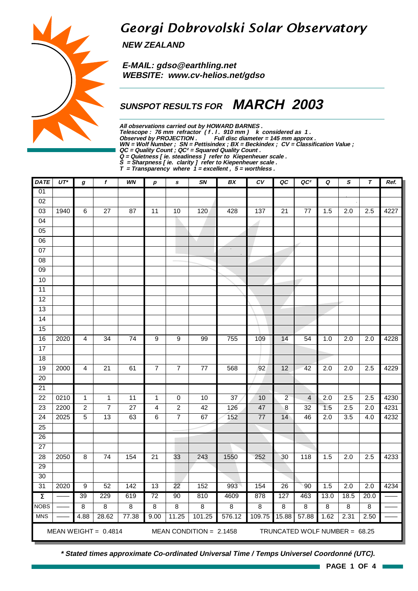# Georgi Dobrovolski Solar Observatory

**NEW ZEALAND**

 **E-MAIL: gdso@earthling.net WEBSITE: www.cv-helios.net/gdso**

## **SUNSPOT RESULTS FOR MARCH 2003**

**All observations carried out by HOWARD BARNES .** Telescope : 76 mm refractor (f. l. 910 mm) k considered as 1. **Observed by PROJECTION . Full disc diameter = 145 mm approx . WN = Wolf Number ; SN = Pettisindex ; BX = Beckindex ; CV = Classification Value ; QC = Quality Count ; QC² = Squared Quality Count . Q = Quietness [ ie. steadiness ] refer to Kiepenheuer scale .**

**S = Sharpness [ ie. clarity ] refer to Kiepenheuer scale .**

**T = Transparency where 1 = excellent , 5 = worthless .**

| <b>DATE</b>         | $UT^*$                                                                               | $\pmb{g}$      | $\boldsymbol{f}$ | WN              | р               | $\mathbf s$     | SN              | BX             | $c_{V}$         | QC              | QC <sup>2</sup> | Q                | $\pmb{s}$        | $\tau$           | Ref. |
|---------------------|--------------------------------------------------------------------------------------|----------------|------------------|-----------------|-----------------|-----------------|-----------------|----------------|-----------------|-----------------|-----------------|------------------|------------------|------------------|------|
| 01                  |                                                                                      |                |                  |                 |                 |                 |                 |                |                 |                 |                 |                  |                  |                  |      |
| $\overline{02}$     |                                                                                      |                |                  |                 |                 |                 |                 |                |                 |                 |                 |                  |                  |                  |      |
| 03                  | 1940                                                                                 | $\overline{6}$ | $\overline{27}$  | 87              | 11              | 10              | 120             | 428            | 137             | 21              | $\overline{77}$ | 1.5              | 2.0              | $\overline{2.5}$ | 4227 |
| $\overline{04}$     |                                                                                      |                |                  |                 |                 |                 |                 |                |                 |                 |                 |                  |                  |                  |      |
| $\overline{05}$     |                                                                                      |                |                  |                 |                 |                 |                 |                |                 |                 |                 |                  |                  |                  |      |
| 06                  |                                                                                      |                |                  |                 |                 |                 |                 |                |                 |                 |                 |                  |                  |                  |      |
| $\overline{07}$     |                                                                                      |                |                  |                 |                 |                 |                 | $\alpha$       |                 |                 |                 |                  |                  |                  |      |
| $\overline{08}$     |                                                                                      |                |                  |                 |                 |                 |                 |                |                 |                 |                 |                  |                  |                  |      |
| $\overline{09}$     |                                                                                      |                |                  |                 |                 |                 |                 |                |                 |                 |                 |                  |                  |                  |      |
| 10                  |                                                                                      |                |                  |                 |                 |                 |                 |                |                 |                 |                 |                  |                  |                  |      |
| $\overline{11}$     |                                                                                      |                |                  |                 |                 |                 |                 |                |                 |                 |                 |                  |                  |                  |      |
| 12                  |                                                                                      |                |                  |                 |                 |                 |                 |                |                 |                 |                 |                  |                  |                  |      |
| 13                  |                                                                                      |                |                  |                 |                 |                 |                 |                |                 |                 |                 |                  |                  |                  |      |
| 14                  |                                                                                      |                |                  |                 |                 |                 |                 |                |                 |                 |                 |                  |                  |                  |      |
| 15                  |                                                                                      |                |                  |                 |                 |                 |                 |                |                 |                 |                 |                  |                  |                  |      |
| 16                  | 2020                                                                                 | $\overline{4}$ | 34               | $\overline{74}$ | $\overline{9}$  | $\overline{9}$  | 99              | 755            | 109             | 14              | $\overline{54}$ | 1.0              | 2.0              | 2.0              | 4228 |
| 17                  |                                                                                      |                |                  |                 |                 |                 |                 |                |                 |                 |                 |                  |                  |                  |      |
| 18                  |                                                                                      |                |                  |                 |                 |                 |                 |                |                 |                 |                 |                  |                  |                  |      |
| 19                  | 2000                                                                                 | 4              | $\overline{21}$  | 61              | $\overline{7}$  | $\overline{7}$  | $\overline{77}$ | 568            | 92              | $\overline{12}$ | 42              | $\overline{2.0}$ | $\overline{2.0}$ | 2.5              | 4229 |
| 20                  |                                                                                      |                |                  |                 |                 |                 |                 |                |                 |                 |                 |                  |                  |                  |      |
| $\overline{21}$     |                                                                                      |                |                  |                 |                 |                 |                 |                |                 |                 |                 |                  |                  |                  |      |
| $\overline{22}$     | 0210                                                                                 | $\mathbf{1}$   | $\mathbf 1$      | 11              | $\mathbf{1}$    | 0               | 10              | 37             | 10              | $\overline{2}$  | $\overline{4}$  | $\overline{2.0}$ | 2.5              | $\overline{2.5}$ | 4230 |
| 23                  | 2200                                                                                 | $\overline{c}$ | $\overline{7}$   | $\overline{27}$ | 4               | $\overline{c}$  | 42              | 126            | 47              | 8               | $\overline{32}$ | 1.5              | 2.5              | 2.0              | 4231 |
| $\overline{24}$     | 2025                                                                                 | $\overline{5}$ | 13               | 63              | $\overline{6}$  | $\overline{7}$  | 67              | 152            | $\overline{77}$ | 14              | 46              | $\overline{2.0}$ | 3.5              | 4.0              | 4232 |
| $\overline{25}$     |                                                                                      |                |                  |                 |                 |                 |                 |                |                 |                 |                 |                  |                  |                  |      |
| 26                  |                                                                                      |                |                  |                 |                 | <b>College</b>  |                 |                |                 |                 |                 |                  |                  |                  |      |
| $\overline{27}$     |                                                                                      |                |                  |                 |                 |                 |                 |                |                 |                 |                 |                  |                  |                  |      |
| $\overline{28}$     | 2050                                                                                 | $\overline{8}$ | 74               | 154             | $\overline{21}$ | 33              | 243             | 1550           | 252             | 30              | 118             | 1.5              | 2.0              | $\overline{2.5}$ | 4233 |
| 29                  |                                                                                      |                |                  |                 |                 |                 |                 |                |                 |                 |                 |                  |                  |                  |      |
| $\overline{30}$     |                                                                                      |                |                  |                 |                 |                 |                 |                |                 |                 |                 |                  |                  |                  |      |
| 31                  | 2020                                                                                 | $\overline{9}$ | 52               | 142             | 13              | $\overline{22}$ | 152             | 993            | 154             | $\overline{26}$ | 90              | 1.5              | 2.0              | 2.0              | 4234 |
| $\overline{\Sigma}$ |                                                                                      | 39             | 229              | 619             | $\overline{72}$ | 90              | 810             | 4609           | 878             | 127             | 463             | 13.0             | 18.5             | 20.0             |      |
| <b>NOBS</b>         |                                                                                      | 8              | $\overline{8}$   | 8               | $\overline{8}$  | $\overline{8}$  | $\overline{8}$  | $\overline{8}$ | $\overline{8}$  | $\overline{8}$  | 8               | $\overline{8}$   | $\overline{8}$   | 8                |      |
| <b>MNS</b>          |                                                                                      | 4.88           | 28.62            | 77.38           | 9.00            | 11.25           | 101.25          | 576.12         | 109.75          | 15.88           | 57.88           | 1.62             | 2.31             | 2.50             |      |
|                     | MEAN WEIGHT = $0.4814$<br>MEAN CONDITION = $2.1458$<br>TRUNCATED WOLF NUMBER = 68.25 |                |                  |                 |                 |                 |                 |                |                 |                 |                 |                  |                  |                  |      |

**\* Stated times approximate Co-ordinated Universal Time / Temps Universel Coordonné (UTC).**



**PAGE 1 OF 4**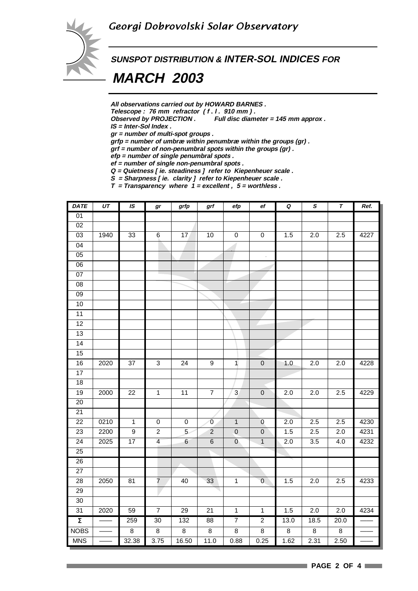

**SUNSPOT DISTRIBUTION & INTER-SOL INDICES FOR**

 **MARCH 2003**

**All observations carried out by HOWARD BARNES .**

Telescope : 76 mm refractor (f. l. 910 mm).<br>Observed by PROJECTION . Full disc diam

Full disc diameter = 145 mm approx .

**IS = Inter-Sol Index .**

**gr = number of multi-spot groups .**

**grfp = number of umbræ within penumbræ within the groups (gr) .**

**grf = number of non-penumbral spots within the groups (gr) .**

**efp = number of single penumbral spots .**

**ef = number of single non-penumbral spots . Q = Quietness [ ie. steadiness ] refer to Kiepenheuer scale .**

**S = Sharpness [ ie. clarity ] refer to Kiepenheuer scale .**

**T = Transparency where 1 = excellent , 5 = worthless .**

| <b>DATE</b>         | UT                           | $I\!S$          | $\bm{gr}$      | grfp            | $grf$          | $e\!f\!p$      | ef             | $\pmb Q$         | $\pmb{s}$        | $\pmb{\tau}$            | Ref. |
|---------------------|------------------------------|-----------------|----------------|-----------------|----------------|----------------|----------------|------------------|------------------|-------------------------|------|
| 01                  |                              |                 |                |                 |                |                |                |                  |                  |                         |      |
| 02                  |                              |                 |                |                 |                |                |                |                  |                  |                         |      |
| $\overline{03}$     | 1940                         | 33              | 6              | 17              | $10$           | $\pmb{0}$      | $\pmb{0}$      | 1.5              | 2.0              | 2.5                     | 4227 |
| 04                  |                              |                 |                |                 |                |                |                |                  |                  |                         |      |
| 05                  |                              |                 |                |                 |                |                |                |                  |                  |                         |      |
| $\overline{06}$     |                              |                 |                |                 |                |                |                |                  |                  |                         |      |
| 07                  |                              |                 |                |                 |                |                |                |                  |                  |                         |      |
| 08                  |                              |                 |                |                 |                |                |                |                  |                  |                         |      |
| $\overline{09}$     |                              |                 |                |                 |                |                |                |                  |                  |                         |      |
| 10                  |                              |                 |                |                 |                |                |                |                  |                  |                         |      |
| 11                  |                              |                 |                |                 |                |                |                |                  |                  |                         |      |
| 12                  |                              |                 |                |                 |                |                |                |                  |                  |                         |      |
| 13                  |                              |                 |                |                 |                |                |                |                  |                  |                         |      |
| $\overline{14}$     |                              |                 |                |                 |                |                |                |                  |                  |                         |      |
| 15                  |                              |                 |                |                 |                |                |                |                  |                  |                         |      |
| 16                  | $\frac{1}{20}$ <sub>20</sub> | $37\,$          | $\overline{3}$ | $\overline{24}$ | $\overline{9}$ | $\mathbf{1}$   | $\overline{0}$ | 1.0              | 2.0              | 2.0                     | 4228 |
| $\overline{17}$     |                              |                 |                |                 |                |                |                |                  |                  |                         |      |
| 18                  |                              |                 |                |                 |                |                |                |                  |                  |                         |      |
| 19                  | 2000                         | $\overline{22}$ | $\overline{1}$ | 11              | $\overline{7}$ | $\overline{3}$ | $\overline{0}$ | 2.0              | 2.0              | 2.5                     | 4229 |
| $\overline{20}$     |                              |                 |                |                 |                |                |                |                  |                  |                         |      |
| $\overline{21}$     |                              |                 |                |                 |                |                |                |                  |                  |                         |      |
| $\overline{22}$     | 0210                         | $\mathbf{1}$    | $\pmb{0}$      | $\pmb{0}$       | $\bf 0$        | $\mathbf{1}$   | $\overline{0}$ | 2.0              | $\overline{2.5}$ | 2.5                     | 4230 |
| $\overline{23}$     | 2200                         | $\overline{9}$  | $\overline{2}$ | $\overline{5}$  | $\overline{2}$ | $\overline{0}$ | $\overline{0}$ | 1.5              | 2.5              | 2.0                     | 4231 |
| $\overline{24}$     | 2025                         | 17              | $\overline{4}$ | $6\overline{6}$ | $\overline{6}$ | $\overline{0}$ | $\overline{1}$ | $\overline{2.0}$ | 3.5              | 4.0                     | 4232 |
| $\overline{25}$     |                              |                 |                |                 |                |                |                |                  |                  |                         |      |
| 26                  |                              |                 |                |                 |                |                |                |                  |                  |                         |      |
| $\overline{27}$     |                              |                 |                |                 |                |                |                |                  |                  |                         |      |
| $\overline{28}$     | 2050                         | 81              | $\overline{7}$ | 40              | 33             | $\overline{1}$ | $\overline{0}$ | 1.5              | 2.0              | 2.5                     | 4233 |
| 29                  |                              |                 | $\sim$         |                 |                |                |                |                  |                  |                         |      |
| $\overline{30}$     |                              |                 |                |                 |                |                |                |                  |                  |                         |      |
| 31                  | 2020                         | 59              | $\overline{7}$ | 29              | 21             | $\overline{1}$ | $\mathbf{1}$   | 1.5              | $\overline{2.0}$ | 2.0                     | 4234 |
| $\overline{\Sigma}$ |                              | 259             | 30             | 132             | 88             | $\overline{7}$ | $\overline{2}$ | 13.0             | 18.5             | 20.0                    |      |
| <b>NOBS</b>         |                              | $\overline{8}$  | $\overline{8}$ | $\overline{8}$  | $\overline{8}$ | $\overline{8}$ | $\overline{8}$ | $\overline{8}$   | $\overline{8}$   | $\overline{\mathbf{8}}$ |      |
| <b>MNS</b>          |                              | 32.38           | 3.75           | 16.50           | 11.0           | 0.88           | 0.25           | 1.62             | 2.31             | 2.50                    |      |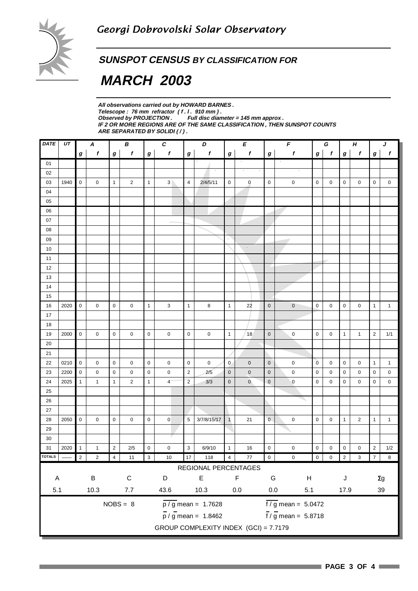

**SUNSPOT CENSUS BY CLASSIFICATION FOR**

 **MARCH 2003**

**All observations carried out by HOWARD BARNES .** Telescope : 76 mm refractor (f. l. 910 mm).<br>Observed by PROJECTION . Full disc dian **Full disc diameter = 145 mm approx . IF 2 OR MORE REGIONS ARE OF THE SAME CLASSIFICATION , THEN SUNSPOT COUNTS ARE SEPARATED BY SOLIDI ( / ) .**

| <b>DATE</b>   | UT   | В<br>A           |                  |                  |                  | $\pmb{C}$                                             |                     | D              |                                                   | E                   |                    | $\overline{F}$   |                             | G                |              | $\pmb H$     |                         | J              |                  |
|---------------|------|------------------|------------------|------------------|------------------|-------------------------------------------------------|---------------------|----------------|---------------------------------------------------|---------------------|--------------------|------------------|-----------------------------|------------------|--------------|--------------|-------------------------|----------------|------------------|
|               |      | $\boldsymbol{g}$ | $\boldsymbol{f}$ | $\boldsymbol{g}$ | $\boldsymbol{f}$ | $\bm{g}$                                              | $\pmb{f}$           | $\bm{g}$       | f                                                 | $\boldsymbol{g}$    | $\pmb{f}$          | $\boldsymbol{g}$ | $\pmb{f}$                   | $\boldsymbol{g}$ | $\mathbf{f}$ | $\pmb{g}$    | $\pmb{f}$               | g              | $\boldsymbol{f}$ |
| 01            |      |                  |                  |                  |                  |                                                       |                     |                |                                                   |                     |                    |                  |                             |                  |              |              |                         |                |                  |
| 02            |      |                  |                  |                  |                  |                                                       |                     |                |                                                   |                     |                    |                  |                             |                  |              |              |                         |                |                  |
| 03            | 1940 | $\mathsf 0$      | 0                | $\mathbf{1}$     | $\overline{2}$   | $\mathbf{1}$                                          | 3 <sup>1</sup>      | $\overline{4}$ | 2/4/5/11                                          | 0                   | $\bf{0}$           | $\mathbf 0$      | $\mathsf 0$                 | 0                | $\mathbf 0$  | $\mathbf 0$  | 0                       | 0              | 0                |
| 04            |      |                  |                  |                  |                  |                                                       |                     |                |                                                   |                     |                    |                  |                             |                  |              |              |                         |                |                  |
| 05            |      |                  |                  |                  |                  |                                                       |                     |                |                                                   |                     |                    |                  |                             |                  |              |              |                         |                |                  |
| 06            |      |                  |                  |                  |                  |                                                       |                     |                |                                                   |                     |                    |                  |                             |                  |              |              |                         |                |                  |
| 07            |      |                  |                  |                  |                  |                                                       |                     |                |                                                   |                     |                    |                  |                             |                  |              |              |                         |                |                  |
| 08            |      |                  |                  |                  |                  |                                                       |                     |                |                                                   |                     |                    |                  |                             |                  |              |              |                         |                |                  |
| 09            |      |                  |                  |                  |                  |                                                       |                     |                |                                                   | $\epsilon$          |                    |                  |                             |                  |              |              |                         |                |                  |
| 10            |      |                  |                  |                  |                  |                                                       |                     |                |                                                   |                     | $\hat{\mathbf{r}}$ |                  |                             |                  |              |              |                         |                |                  |
| 11            |      |                  |                  |                  |                  |                                                       |                     |                |                                                   |                     |                    |                  |                             |                  |              |              |                         |                |                  |
| 12            |      |                  |                  |                  |                  |                                                       |                     |                |                                                   |                     |                    |                  |                             |                  |              |              |                         |                |                  |
| 13            |      |                  |                  |                  |                  |                                                       |                     |                |                                                   |                     |                    |                  |                             |                  |              |              |                         |                |                  |
| 14            |      |                  |                  |                  |                  |                                                       |                     |                |                                                   |                     |                    |                  |                             |                  |              |              |                         |                |                  |
| 15            |      |                  |                  |                  |                  |                                                       |                     |                |                                                   |                     |                    |                  |                             |                  |              |              |                         |                |                  |
| 16            | 2020 | $\mathsf 0$      | 0                | $\mathbf 0$      | 0                | $\mathbf{1}$                                          | 3                   | $\mathbf{1}$   | 8                                                 | $\mathbf{1}$        | 22                 | $\pmb{0}$        | $\pmb{0}$                   | $\pmb{0}$        | $\mathbf 0$  | 0            | 0                       | $\mathbf{1}$   | $\mathbf{1}$     |
| 17            |      |                  |                  |                  |                  |                                                       |                     |                |                                                   |                     |                    |                  |                             |                  |              |              |                         |                |                  |
| 18            |      |                  |                  |                  |                  |                                                       |                     |                |                                                   |                     |                    |                  |                             |                  |              |              |                         |                |                  |
| 19            | 2000 | $\mathbf 0$      | 0                | $\mathbf 0$      | 0                | $\pmb{0}$                                             | 0                   | $\pmb{0}$      | 0                                                 | $\mathbf{1}$        | 18                 | $\mathbf 0$      | $\pmb{0}$                   | 0                | 0            | $\mathbf{1}$ | $\mathbf{1}$            | $\sqrt{2}$     | 1/1              |
| $20\,$        |      |                  |                  |                  |                  |                                                       |                     |                |                                                   |                     |                    |                  |                             |                  |              |              |                         |                |                  |
| 21            |      |                  |                  |                  |                  |                                                       |                     |                |                                                   |                     |                    |                  |                             |                  |              |              |                         |                |                  |
| 22            | 0210 | $\mathbf 0$      | 0                | $\mathbf 0$      | 0                | $\mathbf 0$                                           | $\mathsf{O}\xspace$ | $\mathbf 0$    | $\pmb{0}$                                         | $\mathbf{0}$        | $\mathbf 0$        | $\mathbf 0$      | $\pmb{0}$                   | $\overline{0}$   | $\mathbf 0$  | $\mathbf 0$  | 0                       | $\mathbf{1}$   | $\mathbf{1}$     |
| 23            | 2200 | $\mathbf 0$      | 0                | $\mathbf 0$      | 0                | 0                                                     | 0                   | $\sqrt{2}$     | 2/5                                               | $\mathsf{O}\xspace$ | $\mathbf 0$        | $\pmb{0}$        | $\pmb{0}$                   | 0                | 0            | 0            | 0                       | $\pmb{0}$      | 0                |
| 24            | 2025 | $\mathbf{1}$     | $\mathbf{1}$     | $\mathbf{1}$     | $\overline{2}$   | $\mathbf{1}$                                          | $\overline{4}$      | $\overline{c}$ | 3/3                                               | $\mathbf 0$         | $\mathbf 0$        | $\mathbf 0$      | $\pmb{0}$                   | $\pmb{0}$        | $\mathbf 0$  | 0            | 0                       | 0              | 0                |
| 25            |      |                  |                  |                  |                  |                                                       |                     |                |                                                   |                     |                    |                  |                             |                  |              |              |                         |                |                  |
| 26            |      |                  |                  |                  |                  |                                                       |                     |                |                                                   |                     |                    |                  |                             |                  |              |              |                         |                |                  |
| 27            |      |                  |                  |                  |                  |                                                       |                     |                |                                                   |                     |                    |                  |                             |                  |              |              |                         |                |                  |
| 28            | 2050 | $\mathsf 0$      | 0                | $\pmb{0}$        | 0                | $\pmb{0}$                                             | $\mathbf 0$         | 5              | 3/7/8/15/17                                       | $\mathbf{1}$        | 21                 | $\mathbf 0$      | $\pmb{0}$                   | $\pmb{0}$        | 0            | $\mathbf{1}$ | $\overline{c}$          | $\mathbf{1}$   | $\mathbf{1}$     |
| 29            |      |                  |                  |                  |                  |                                                       |                     |                |                                                   |                     |                    |                  |                             |                  |              |              |                         |                |                  |
| 30            |      |                  |                  |                  |                  |                                                       |                     |                |                                                   |                     |                    |                  |                             |                  |              |              |                         |                |                  |
| 31            | 2020 | $\mathbf{1}$     | $\mathbf{1}$     | $\sqrt{2}$       | 2/5              | 0                                                     | $\pmb{0}$           | 3              | 6/9/10                                            | $\mathbf{1}$        | 16                 | $\mathbf 0$      | $\pmb{0}$                   | 0                | 0            | 0            | 0                       | $\overline{c}$ | 1/2              |
| <b>TOTALS</b> |      | $\overline{c}$   | $\overline{2}$   | $\sqrt{4}$       | $11$             | $\begin{array}{ c c } \hline 3 \\ \hline \end{array}$ | $10\,$              | 17             | 118                                               | $\overline{4}$      | $77$               | $\overline{0}$   | $\pmb{0}$                   | $\overline{0}$   | $0\quad 2$   |              | $\overline{\mathbf{3}}$ |                | $7 \quad 8$      |
|               |      |                  |                  |                  |                  |                                                       |                     |                | REGIONAL PERCENTAGES                              |                     |                    |                  |                             |                  |              |              |                         |                |                  |
| A             |      |                  | $\sf B$          |                  | $\mathsf C$      |                                                       | D                   |                | E                                                 |                     | F                  | G                | $\boldsymbol{\mathsf{H}}$   |                  |              | J            |                         |                | $\Sigma g$       |
|               |      |                  |                  |                  |                  |                                                       |                     |                |                                                   |                     |                    |                  |                             |                  |              |              |                         |                |                  |
| 5.1           |      |                  | 10.3             |                  | $7.7$            |                                                       | 43.6                |                | 10.3                                              |                     | $0.0\,$            | $0.0\,$          | 5.1                         |                  |              | 17.9         |                         |                | $39\,$           |
|               |      |                  |                  |                  | $NOBS = 8$       |                                                       |                     |                | $\frac{\overline{p}}{\overline{p}}$ mean = 1.7628 |                     |                    |                  | $\frac{1}{2}$ mean = 5.0472 |                  |              |              |                         |                |                  |
|               |      |                  |                  |                  |                  |                                                       |                     |                | $\frac{1}{p}$ / g mean = 1.8462                   |                     |                    |                  | $f / g$ mean = 5.8718       |                  |              |              |                         |                |                  |
|               |      |                  |                  |                  |                  |                                                       |                     |                | GROUP COMPLEXITY INDEX (GCI) = 7.7179             |                     |                    |                  |                             |                  |              |              |                         |                |                  |
|               |      |                  |                  |                  |                  |                                                       |                     |                |                                                   |                     |                    |                  |                             |                  |              |              |                         |                |                  |